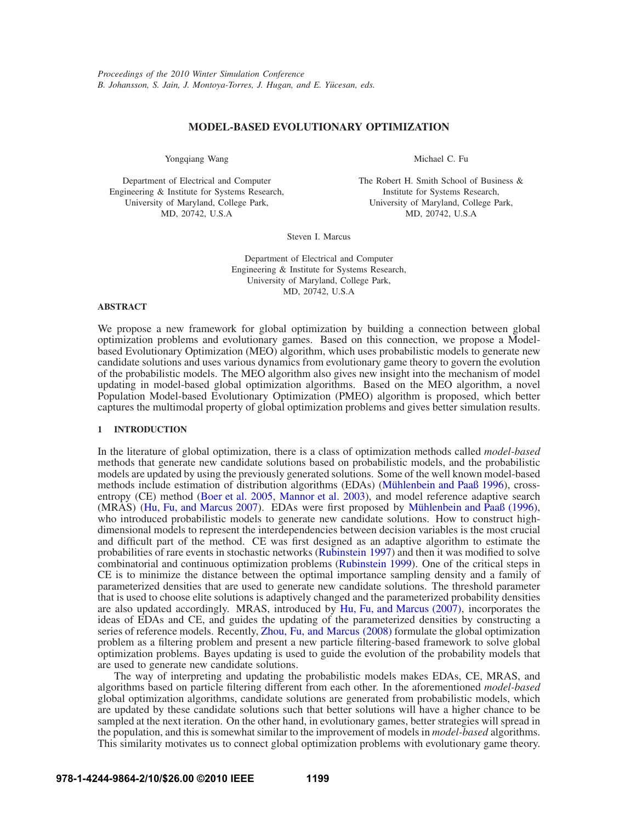# **MODEL-BASED EVOLUTIONARY OPTIMIZATION**

Yongqiang Wang

Department of Electrical and Computer Engineering & Institute for Systems Research, University of Maryland, College Park, MD, 20742, U.S.A

Michael C. Fu

The Robert H. Smith School of Business & Institute for Systems Research, University of Maryland, College Park, MD, 20742, U.S.A

Steven I. Marcus

Department of Electrical and Computer Engineering & Institute for Systems Research, University of Maryland, College Park, MD, 20742, U.S.A

## **ABSTRACT**

We propose a new framework for global optimization by building a connection between global optimization problems and evolutionary games. Based on this connection, we propose a Modelbased Evolutionary Optimization (MEO) algorithm, which uses probabilistic models to generate new candidate solutions and uses various dynamics from evolutionary game theory to govern the evolution of the probabilistic models. The MEO algorithm also gives new insight into the mechanism of model updating in model-based global optimization algorithms. Based on the MEO algorithm, a novel Population Model-based Evolutionary Optimization (PMEO) algorithm is proposed, which better captures the multimodal property of global optimization problems and gives better simulation results.

## **1 INTRODUCTION**

In the literature of global optimization, there is a class of optimization methods called *model-based* methods that generate new candidate solutions based on probabilistic models, and the probabilistic models are updated by using the previously generated solutions. Some of the well known model-based methods include estimation of distribution algorithms (EDAs) (Mühlenbein and Paaß 1996), crossentropy (CE) method (Boer et al. 2005, Mannor et al. 2003), and model reference adaptive search (MRAS) (Hu, Fu, and Marcus 2007). EDAs were first proposed by Mühlenbein and Paaß (1996), who introduced probabilistic models to generate new candidate solutions. How to construct highdimensional models to represent the interdependencies between decision variables is the most crucial and difficult part of the method. CE was first designed as an adaptive algorithm to estimate the probabilities of rare events in stochastic networks (Rubinstein 1997) and then it was modified to solve combinatorial and continuous optimization problems (Rubinstein 1999). One of the critical steps in CE is to minimize the distance between the optimal importance sampling density and a family of parameterized densities that are used to generate new candidate solutions. The threshold parameter that is used to choose elite solutions is adaptively changed and the parameterized probability densities are also updated accordingly. MRAS, introduced by Hu, Fu, and Marcus (2007), incorporates the ideas of EDAs and CE, and guides the updating of the parameterized densities by constructing a series of reference models. Recently, Zhou, Fu, and Marcus (2008) formulate the global optimization problem as a filtering problem and present a new particle filtering-based framework to solve global optimization problems. Bayes updating is used to guide the evolution of the probability models that are used to generate new candidate solutions.

The way of interpreting and updating the probabilistic models makes EDAs, CE, MRAS, and algorithms based on particle filtering different from each other. In the aforementioned *model-based* global optimization algorithms, candidate solutions are generated from probabilistic models, which are updated by these candidate solutions such that better solutions will have a higher chance to be sampled at the next iteration. On the other hand, in evolutionary games, better strategies will spread in the population, and this is somewhat similar to the improvement of models in *model-based* algorithms. This similarity motivates us to connect global optimization problems with evolutionary game theory.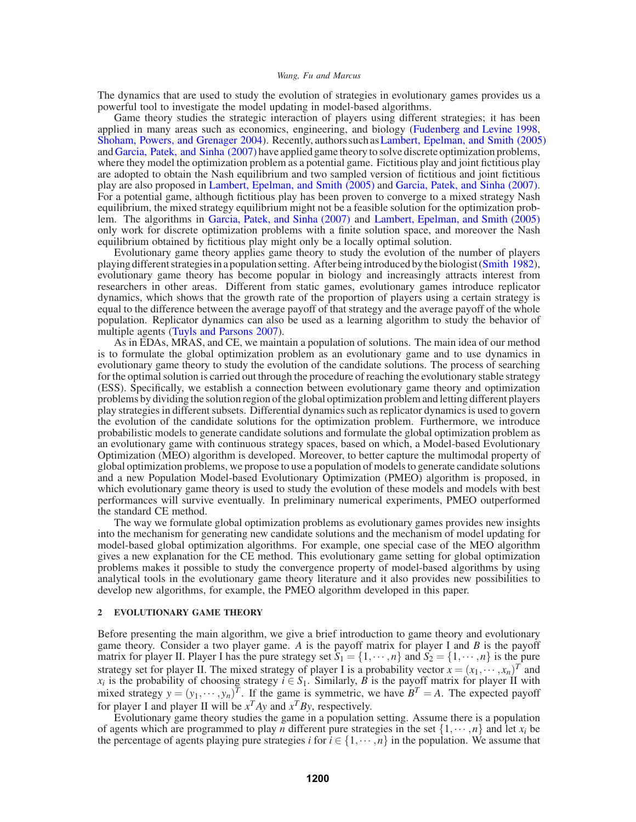The dynamics that are used to study the evolution of strategies in evolutionary games provides us a powerful tool to investigate the model updating in model-based algorithms.

Game theory studies the strategic interaction of players using different strategies; it has been applied in many areas such as economics, engineering, and biology (Fudenberg and Levine 1998, Shoham, Powers, and Grenager 2004). Recently, authors such asLambert, Epelman, and Smith (2005) and Garcia, Patek, and Sinha (2007) have applied game theory to solve discrete optimization problems, where they model the optimization problem as a potential game. Fictitious play and joint fictitious play are adopted to obtain the Nash equilibrium and two sampled version of fictitious and joint fictitious play are also proposed in Lambert, Epelman, and Smith (2005) and Garcia, Patek, and Sinha (2007). For a potential game, although fictitious play has been proven to converge to a mixed strategy Nash equilibrium, the mixed strategy equilibrium might not be a feasible solution for the optimization problem. The algorithms in Garcia, Patek, and Sinha (2007) and Lambert, Epelman, and Smith (2005) only work for discrete optimization problems with a finite solution space, and moreover the Nash equilibrium obtained by fictitious play might only be a locally optimal solution.

Evolutionary game theory applies game theory to study the evolution of the number of players playing different strategies in a population setting. After being introduced by the biologist (Smith 1982), evolutionary game theory has become popular in biology and increasingly attracts interest from researchers in other areas. Different from static games, evolutionary games introduce replicator dynamics, which shows that the growth rate of the proportion of players using a certain strategy is equal to the difference between the average payoff of that strategy and the average payoff of the whole population. Replicator dynamics can also be used as a learning algorithm to study the behavior of multiple agents (Tuyls and Parsons 2007).

As in EDAs, MRAS, and CE, we maintain a population of solutions. The main idea of our method is to formulate the global optimization problem as an evolutionary game and to use dynamics in evolutionary game theory to study the evolution of the candidate solutions. The process of searching for the optimal solution is carried out through the procedure of reaching the evolutionary stable strategy (ESS). Specifically, we establish a connection between evolutionary game theory and optimization problems by dividing the solution region of the global optimization problem and letting different players play strategies in different subsets. Differential dynamics such as replicator dynamics is used to govern the evolution of the candidate solutions for the optimization problem. Furthermore, we introduce probabilistic models to generate candidate solutions and formulate the global optimization problem as an evolutionary game with continuous strategy spaces, based on which, a Model-based Evolutionary Optimization (MEO) algorithm is developed. Moreover, to better capture the multimodal property of global optimization problems, we propose to use a population of models to generate candidate solutions and a new Population Model-based Evolutionary Optimization (PMEO) algorithm is proposed, in which evolutionary game theory is used to study the evolution of these models and models with best performances will survive eventually. In preliminary numerical experiments, PMEO outperformed the standard CE method.

The way we formulate global optimization problems as evolutionary games provides new insights into the mechanism for generating new candidate solutions and the mechanism of model updating for model-based global optimization algorithms. For example, one special case of the MEO algorithm gives a new explanation for the CE method. This evolutionary game setting for global optimization problems makes it possible to study the convergence property of model-based algorithms by using analytical tools in the evolutionary game theory literature and it also provides new possibilities to develop new algorithms, for example, the PMEO algorithm developed in this paper.

## **2 EVOLUTIONARY GAME THEORY**

Before presenting the main algorithm, we give a brief introduction to game theory and evolutionary game theory. Consider a two player game. *A* is the payoff matrix for player I and *B* is the payoff matrix for player II. Player I has the pure strategy set  $S_1 = \{1, \dots, n\}$  and  $S_2 = \{1, \dots, n\}$  is the pure strategy set for player II. The mixed strategy of player I is a probability vector  $x = (x_1, \dots, x_n)^T$  and *x<sub>i</sub>* is the probability of choosing strategy  $i \in S_1$ . Similarly, *B* is the payoff matrix for player II with mixed strategy  $y = (y_1, \dots, y_n)^T$ . If the game is symmetric, we have  $B^T = A$ . The expected payoff for player I and player II will be  $x^T Ay$  and  $x^T By$ , respectively.

Evolutionary game theory studies the game in a population setting. Assume there is a population of agents which are programmed to play *n* different pure strategies in the set  $\{1,\dots,n\}$  and let  $x_i$  be the percentage of agents playing pure strategies *i* for  $i \in \{1, \dots, n\}$  in the population. We assume that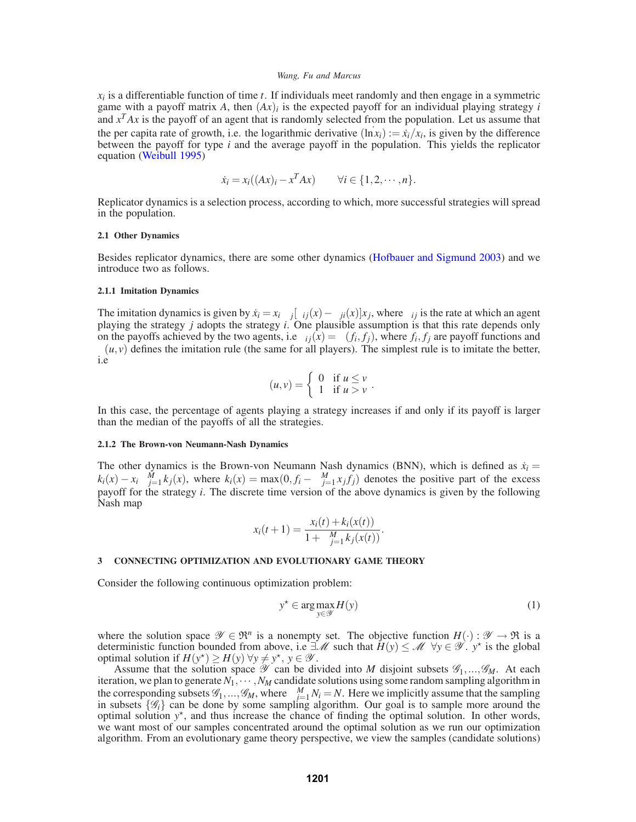$x_i$  is a differentiable function of time *t*. If individuals meet randomly and then engage in a symmetric game with a payoff matrix A, then  $(Ax)_i$  is the expected payoff for an individual playing strategy *i* and  $x<sup>T</sup>Ax$  is the payoff of an agent that is randomly selected from the population. Let us assume that the per capita rate of growth, i.e. the logarithmic derivative  $(\ln x_i) := \dot{x}_i / x_i$ , is given by the difference between the payoff for type *i* and the average payoff in the population. This yields the replicator equation (Weibull 1995)

$$
\dot{x}_i = x_i((Ax)_i - x^T Ax) \qquad \forall i \in \{1, 2, \cdots, n\}.
$$

Replicator dynamics is a selection process, according to which, more successful strategies will spread in the population.

## **2.1 Other Dynamics**

Besides replicator dynamics, there are some other dynamics (Hofbauer and Sigmund 2003) and we introduce two as follows.

# **2.1.1 Imitation Dynamics**

The imitation dynamics is given by  $\dot{x}_i = x_i \sum_j [\phi_{ij}(x) - \phi_{ji}(x)]x_j$ , where  $\phi_{ij}$  is the rate at which an agent playing the strategy *j* adopts the strategy *i*. One plausible assumption is that this rate depends only on the payoffs achieved by the two agents, i.e  $\phi_{ij}(x) = \phi(f_i, f_j)$ , where  $f_i, f_j$  are payoff functions and  $\phi(u, v)$  defines the imitation rule (the same for all players). The simplest rule is to imitate the better, i.e

$$
\phi(u,v) = \begin{cases} 0 & \text{if } u \leq v \\ 1 & \text{if } u > v \end{cases}.
$$

In this case, the percentage of agents playing a strategy increases if and only if its payoff is larger than the median of the payoffs of all the strategies.

## **2.1.2 The Brown-von Neumann-Nash Dynamics**

The other dynamics is the Brown-von Neumann Nash dynamics (BNN), which is defined as  $\dot{x}_i$  =  $k_i(x) - x_i \sum_{j=1}^{M} k_j(x)$ , where  $k_i(x) = \max(0, f_i - \sum_{j=1}^{M} x_j f_j)$  denotes the positive part of the excess payoff for the strategy *i*. The discrete time version of the above dynamics is given by the following Nash map

$$
x_i(t+1) = \frac{x_i(t) + k_i(x(t))}{1 + \sum_{j=1}^{M} k_j(x(t))}.
$$

### **3 CONNECTING OPTIMIZATION AND EVOLUTIONARY GAME THEORY**

Consider the following continuous optimization problem:

$$
y^* \in \arg\max_{y \in \mathcal{Y}} H(y) \tag{1}
$$

where the solution space  $\mathscr{Y} \in \mathfrak{R}^n$  is a nonempty set. The objective function  $H(\cdot): \mathscr{Y} \to \mathfrak{R}$  is a deterministic function bounded from above, i.e  $\exists M$  such that  $H(y) \le M \ \forall y \in \mathcal{Y}$ .  $y^*$  is the global optimal solution if  $H(y^*) \ge H(y) \,\forall y \neq y^*$ ,  $y \in \mathcal{Y}$ .

Assume that the solution space  $\mathscr Y$  can be divided into *M* disjoint subsets  $\mathscr G_1, ..., \mathscr G_M$ . At each iteration, we plan to generate  $N_1, \cdots, N_M$  candidate solutions using some random sampling algorithm in the corresponding subsets  $\mathscr{G}_1, ..., \mathscr{G}_M$ , where  $\sum_{i=1}^M N_i = N$ . Here we implicitly assume that the sampling in subsets  $\{\mathcal{G}_i\}$  can be done by some sampling algorithm. Our goal is to sample more around the optimal solution  $y^*$ , and thus increase the chance of finding the optimal solution. In other words, we want most of our samples concentrated around the optimal solution as we run our optimization algorithm. From an evolutionary game theory perspective, we view the samples (candidate solutions)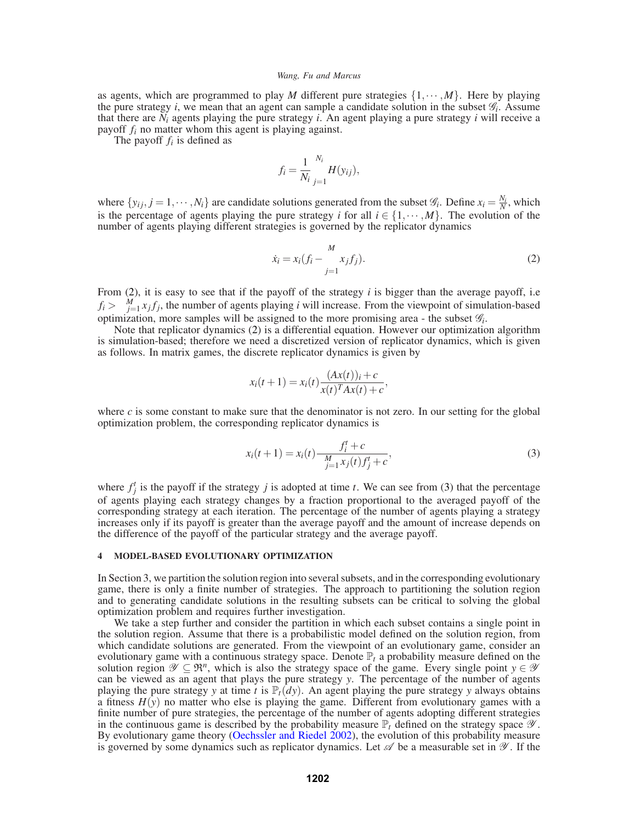as agents, which are programmed to play *M* different pure strategies  $\{1, \dots, M\}$ . Here by playing the pure strategy *i*, we mean that an agent can sample a candidate solution in the subset  $\mathcal{G}_i$ . Assume that there are  $N_i$  agents playing the pure strategy *i*. An agent playing a pure strategy *i* will receive a payoff *fi* no matter whom this agent is playing against.

The payoff *fi* is defined as

$$
f_i = \frac{1}{N_i} \sum_{j=1}^{N_i} H(y_{ij}),
$$

where  $\{y_{ij}, j = 1, \dots, N_i\}$  are candidate solutions generated from the subset  $\mathcal{G}_i$ . Define  $x_i = \frac{N_i}{N}$ , which is the percentage of agents playing the pure strategy *i* for all  $i \in \{1, \dots, M\}$ . The evolution of the number of agents playing different strategies is governed by the replicator dynamics

$$
\dot{x}_i = x_i (f_i - \sum_{j=1}^{M} x_j f_j).
$$
 (2)

From  $(2)$ , it is easy to see that if the payoff of the strategy *i* is bigger than the average payoff, i.e.  $f_i > \sum_{j=1}^{M} x_j f_j$ , the number of agents playing *i* will increase. From the viewpoint of simulation-based optimization, more samples will be assigned to the more promising area - the subset  $\mathscr{G}_i$ .

Note that replicator dynamics (2) is a differential equation. However our optimization algorithm is simulation-based; therefore we need a discretized version of replicator dynamics, which is given as follows. In matrix games, the discrete replicator dynamics is given by

$$
x_i(t+1) = x_i(t) \frac{(Ax(t))_i + c}{x(t)^T Ax(t) + c},
$$

where  $c$  is some constant to make sure that the denominator is not zero. In our setting for the global optimization problem, the corresponding replicator dynamics is

$$
x_i(t+1) = x_i(t) \frac{f_i^t + c}{\sum_{j=1}^M x_j(t) f_j^t + c},
$$
\n(3)

where  $f_j^t$  is the payoff if the strategy *j* is adopted at time *t*. We can see from (3) that the percentage of agents playing each strategy changes by a fraction proportional to the averaged payoff of the corresponding strategy at each iteration. The percentage of the number of agents playing a strategy increases only if its payoff is greater than the average payoff and the amount of increase depends on the difference of the payoff of the particular strategy and the average payoff.

## **4 MODEL-BASED EVOLUTIONARY OPTIMIZATION**

In Section 3, we partition the solution region into several subsets, and in the corresponding evolutionary game, there is only a finite number of strategies. The approach to partitioning the solution region and to generating candidate solutions in the resulting subsets can be critical to solving the global optimization problem and requires further investigation.

We take a step further and consider the partition in which each subset contains a single point in the solution region. Assume that there is a probabilistic model defined on the solution region, from which candidate solutions are generated. From the viewpoint of an evolutionary game, consider an evolutionary game with a continuous strategy space. Denote  $\mathbb{P}_t$  a probability measure defined on the solution region  $\mathscr{Y} \subseteq \mathfrak{R}^n$ , which is also the strategy space of the game. Every single point  $y \in \mathscr{Y}$ can be viewed as an agent that plays the pure strategy *y*. The percentage of the number of agents playing the pure strategy *y* at time *t* is  $\mathbb{P}_t(dy)$ . An agent playing the pure strategy *y* always obtains a fitness  $H(y)$  no matter who else is playing the game. Different from evolutionary games with a finite number of pure strategies, the percentage of the number of agents adopting different strategies in the continuous game is described by the probability measure  $\mathbb{P}_t$  defined on the strategy space  $\mathscr{Y}$ . By evolutionary game theory (Oechssler and Riedel 2002), the evolution of this probability measure is governed by some dynamics such as replicator dynamics. Let  $\mathscr A$  be a measurable set in  $\mathscr Y$ . If the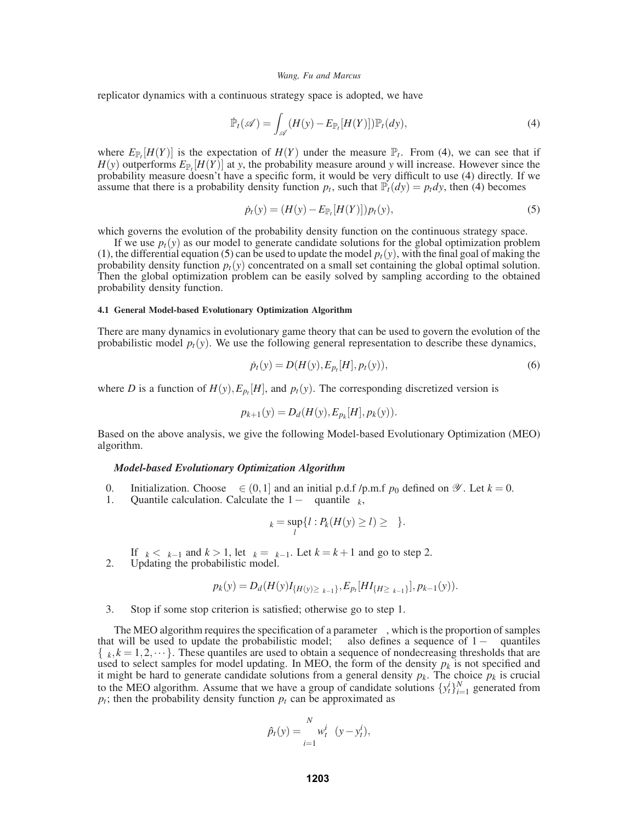replicator dynamics with a continuous strategy space is adopted, we have

$$
\tilde{\mathbb{P}}_t(\mathscr{A}) = \int_{\mathscr{A}} (H(y) - E_{\mathbb{P}_t}[H(Y)]) \mathbb{P}_t(dy), \tag{4}
$$

where  $E_{\mathbb{P}_t}[H(Y)]$  is the expectation of  $H(Y)$  under the measure  $\mathbb{P}_t$ . From (4), we can see that if  $H(y)$  outperforms  $E_{\mathbb{P}_t}[H(Y)]$  at *y*, the probability measure around *y* will increase. However since the probability measure doesn't have a specific form, it would be very difficult to use (4) directly. If we assume that there is a probability density function  $p_t$ , such that  $\mathbb{P}_t(dy) = p_t dy$ , then (4) becomes

$$
\dot{p}_t(y) = (H(y) - E_{\mathbb{P}_t}[H(Y)]) p_t(y), \tag{5}
$$

which governs the evolution of the probability density function on the continuous strategy space.

If we use  $p_t(y)$  as our model to generate candidate solutions for the global optimization problem (1), the differential equation (5) can be used to update the model  $p_t(y)$ , with the final goal of making the probability density function  $p_t(y)$  concentrated on a small set containing the global optimal solution. Then the global optimization problem can be easily solved by sampling according to the obtained probability density function.

## **4.1 General Model-based Evolutionary Optimization Algorithm**

There are many dynamics in evolutionary game theory that can be used to govern the evolution of the probabilistic model  $p_t(y)$ . We use the following general representation to describe these dynamics,

$$
\dot{p}_t(y) = D(H(y), E_{p_t}[H], p_t(y)),\tag{6}
$$

where *D* is a function of  $H(y)$ ,  $E_{p_t}[H]$ , and  $p_t(y)$ . The corresponding discretized version is

$$
p_{k+1}(y) = D_d(H(y), E_{p_k}[H], p_k(y)).
$$

Based on the above analysis, we give the following Model-based Evolutionary Optimization (MEO) algorithm.

## *Model-based Evolutionary Optimization Algorithm*

- 0. Initialization. Choose *ρ* ∈ (0, 1) and an initial p.d.f /p.m.f *p*<sub>0</sub> defined on *Ψ*. Let *k* = 0.<br>Ouantile calculation. Calculate the 1 *ρ* quantile *γ*.
- Quantile calculation. Calculate the  $1 \rho$  quantile  $\gamma_k$ ,

$$
\gamma_k = \sup_l \{l : P_k(H(y) \geq l) \geq \rho\}.
$$

If  $\gamma_k < \gamma_{k-1}$  and  $k > 1$ , let  $\gamma_k = \gamma_{k-1}$ . Let  $k = k+1$  and go to step 2.

2. Updating the probabilistic model.

$$
p_k(y) = D_d(H(y)I_{\{H(y) \geq \gamma_{k-1}\}}, E_{p_l}[HI_{\{H \geq \gamma_{k-1}\}}], p_{k-1}(y)).
$$

3. Stop if some stop criterion is satisfied; otherwise go to step 1.

The MEO algorithm requires the specification of a parameter  $\rho$ , which is the proportion of samples that will be used to update the probabilistic model;  $\rho$  also defines a sequence of  $1 - \rho$  quantiles  $\{\gamma_k, k = 1, 2, \dots\}$ . These quantiles are used to obtain a sequence of nondecreasing thresholds that are used to select samples for model updating. In MEO, the form of the density  $p_k$  is not specified and it might be hard to generate candidate solutions from a general density  $p_k$ . The choice  $p_k$  is crucial to the MEO algorithm. Assume that we have a group of candidate solutions  $\{y_t^i\}_{i=1}^N$  generated from  $p_t$ ; then the probability density function  $p_t$  can be approximated as

$$
\hat{p}_t(y) = \sum_{i=1}^N w_t^i \delta(y - y_t^i),
$$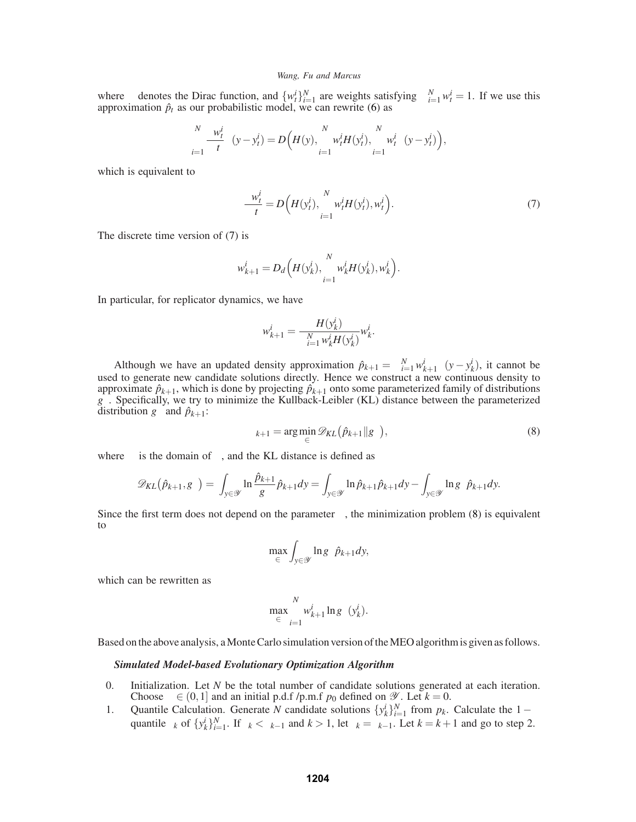where  $\delta$  denotes the Dirac function, and  $\{w_t^i\}_{i=1}^N$  are weights satisfying  $\sum_{i=1}^N w_t^i = 1$ . If we use this approximation  $\hat{p}_t$  as our probabilistic model, we can rewrite (6) as

$$
\sum_{i=1}^N \frac{\partial w_t^i}{\partial t} \delta(y - y_t^i) = D\Big(H(y), \sum_{i=1}^N w_t^i H(y_t^i), \sum_{i=1}^N w_t^i \delta(y - y_t^i)\Big),
$$

which is equivalent to

$$
\frac{\partial w_t^i}{\partial t} = D\Big(H(y_t^i), \sum_{i=1}^N w_t^i H(y_t^i), w_t^i\Big). \tag{7}
$$

The discrete time version of (7) is

$$
w_{k+1}^i = D_d\Big(H(y_k^i), \sum_{i=1}^N w_k^i H(y_k^i), w_k^i\Big).
$$

In particular, for replicator dynamics, we have

$$
w_{k+1}^i = \frac{H(y_k^i)}{\sum_{i=1}^N w_k^i H(y_k^i)} w_k^i.
$$

Although we have an updated density approximation  $\hat{p}_{k+1} = \sum_{i=1}^{N} w_{k+1}^{i} \delta(y - y_{k}^{i})$ , it cannot be used to generate new candidate solutions directly. Hence we construct a new continuous density to approximate  $\hat{p}_{k+1}$ , which is done by projecting  $\hat{p}_{k+1}$  onto some parameterized family of distributions  $g_{\theta}$ . Specifically, we try to minimize the Kullback-Leibler (KL) distance between the parameterized distribution  $g_{\theta}$  and  $\hat{p}_{k+1}$ :

$$
\theta_{k+1} = \arg\min_{\theta \in \Theta} \mathcal{D}_{KL}(\hat{p}_{k+1} \| g_{\theta}),
$$
\n(8)

where  $\Theta$  is the domain of  $\theta$ , and the KL distance is defined as

$$
\mathscr{D}_{KL}(\hat{p}_{k+1}, g_{\theta}) = \int_{y \in \mathscr{Y}} \ln \frac{\hat{p}_{k+1}}{g_{\theta}} \hat{p}_{k+1} dy = \int_{y \in \mathscr{Y}} \ln \hat{p}_{k+1} \hat{p}_{k+1} dy - \int_{y \in \mathscr{Y}} \ln g_{\theta} \hat{p}_{k+1} dy.
$$

Since the first term does not depend on the parameter  $\theta$ , the minimization problem (8) is equivalent to

$$
\max_{\theta \in \Theta} \int_{y \in \mathcal{Y}} \ln g_{\theta} \hat{p}_{k+1} dy,
$$

which can be rewritten as

$$
\max_{\theta \in \Theta} \sum_{i=1}^N w_{k+1}^i \ln g_\theta(y_k^i).
$$

Based on the above analysis, a Monte Carlo simulation version of the MEO algorithm is given as follows.

## *Simulated Model-based Evolutionary Optimization Algorithm*

- 0. Initialization. Let *N* be the total number of candidate solutions generated at each iteration. Choose  $\rho \in (0,1]$  and an initial p.d.f /p.m.f  $p_0$  defined on  $\mathscr{Y}$ . Let  $k = 0$ .
- 1. Quantile Calculation. Generate *N* candidate solutions  $\{y_k^i\}_{i=1}^N$  from  $p_k$ . Calculate the  $1-\rho$ quantile  $\gamma_k$  of  $\{y_k^i\}_{i=1}^N$ . If  $\gamma_k < \gamma_{k-1}$  and  $k > 1$ , let  $\gamma_k = \gamma_{k-1}$ . Let  $k = k+1$  and go to step 2.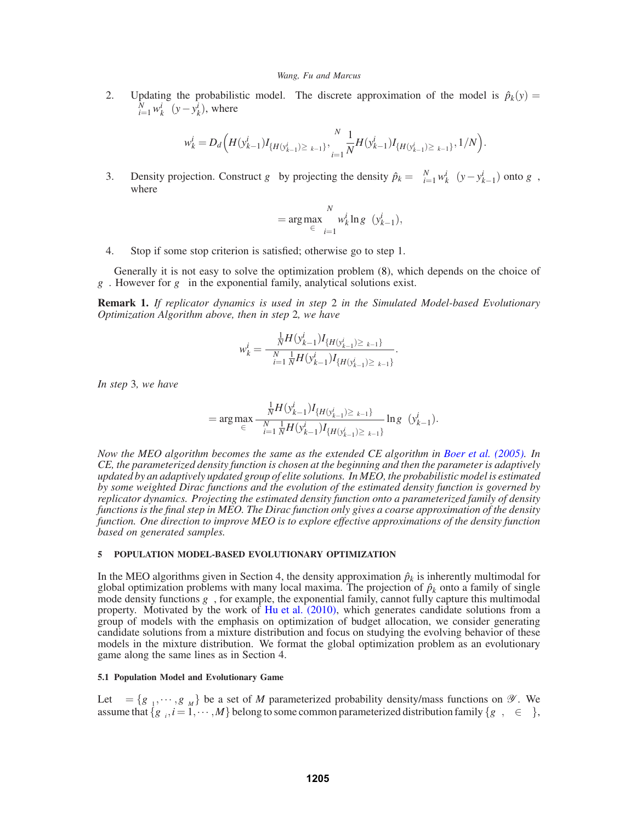2. Updating the probabilistic model. The discrete approximation of the model is  $\hat{p}_k(y)$  =  $\sum_{i=1}^{N} w_k^i \delta(y - y_k^i)$ , where

$$
w_k^i=D_d\Big(H(\mathbf{y}_{k-1}^i)I_{\{H(\mathbf{y}_{k-1}^i)\geq \gamma_{k-1}\}},\sum_{i=1}^N\frac{1}{N}H(\mathbf{y}_{k-1}^i)I_{\{H(\mathbf{y}_{k-1}^i)\geq \gamma_{k-1}\}},1/N\Big).
$$

3. Density projection. Construct  $g_{\theta}$  by projecting the density  $\hat{p}_k = \sum_{i=1}^N w_k^i \delta(y - y_{k-1}^i)$  onto  $g_{\theta}$ , where

$$
\theta = \arg \max_{\theta \in \Theta} \sum_{i=1}^{N} w_k^i \ln g_{\theta}(y_{k-1}^i),
$$

4. Stop if some stop criterion is satisfied; otherwise go to step 1.

Generally it is not easy to solve the optimization problem (8), which depends on the choice of  $g_{\theta}$ . However for  $g_{\theta}$  in the exponential family, analytical solutions exist.

**Remark 1.** *If replicator dynamics is used in step* 2 *in the Simulated Model-based Evolutionary Optimization Algorithm above, then in step* 2*, we have*

$$
w_k^i = \frac{\frac{1}{N}H(y_{k-1}^i)I_{\{H(y_{k-1}^i) \geq \gamma_{k-1}\}}}{\sum_{i=1}^N \frac{1}{N}H(y_{k-1}^i)I_{\{H(y_{k-1}^i) \geq \gamma_{k-1}\}}}.
$$

*In step* 3*, we have*

$$
\theta = \arg \max_{\theta \in \Theta} \frac{\frac{1}{N} H(y_{k-1}^i) I_{\{H(y_{k-1}^i) \geq \gamma_{k-1}\}}}{\sum_{i=1}^N \frac{1}{N} H(y_{k-1}^i) I_{\{H(y_{k-1}^i) \geq \gamma_{k-1}\}}} \ln g_{\theta}(y_{k-1}^i).
$$

*Now the MEO algorithm becomes the same as the extended CE algorithm in Boer et al. (2005). In CE, the parameterized density function is chosen at the beginning and then the parameter is adaptively updated by an adaptively updated group of elite solutions. In MEO, the probabilistic model is estimated by some weighted Dirac functions and the evolution of the estimated density function is governed by replicator dynamics. Projecting the estimated density function onto a parameterized family of density functions is the final step in MEO. The Dirac function only gives a coarse approximation of the density function. One direction to improve MEO is to explore effective approximations of the density function based on generated samples.*

# **5 POPULATION MODEL-BASED EVOLUTIONARY OPTIMIZATION**

In the MEO algorithms given in Section 4, the density approximation  $\hat{p}_k$  is inherently multimodal for global optimization problems with many local maxima. The projection of  $\hat{p}_k$  onto a family of single mode density functions  $g_{\theta}$ , for example, the exponential family, cannot fully capture this multimodal property. Motivated by the work of Hu et al. (2010), which generates candidate solutions from a group of models with the emphasis on optimization of budget allocation, we consider generating candidate solutions from a mixture distribution and focus on studying the evolving behavior of these models in the mixture distribution. We format the global optimization problem as an evolutionary game along the same lines as in Section 4.

### **5.1 Population Model and Evolutionary Game**

Let  $\Gamma = \{g_{\theta_1}, \dots, g_{\theta_M}\}\$ be a set of *M* parameterized probability density/mass functions on  $\mathscr Y$ . We assume that  ${g_{\theta_i}, i = 1, \cdots, M}$  belong to some common parameterized distribution family  ${g_{\theta}, \theta \in \Theta}$ ,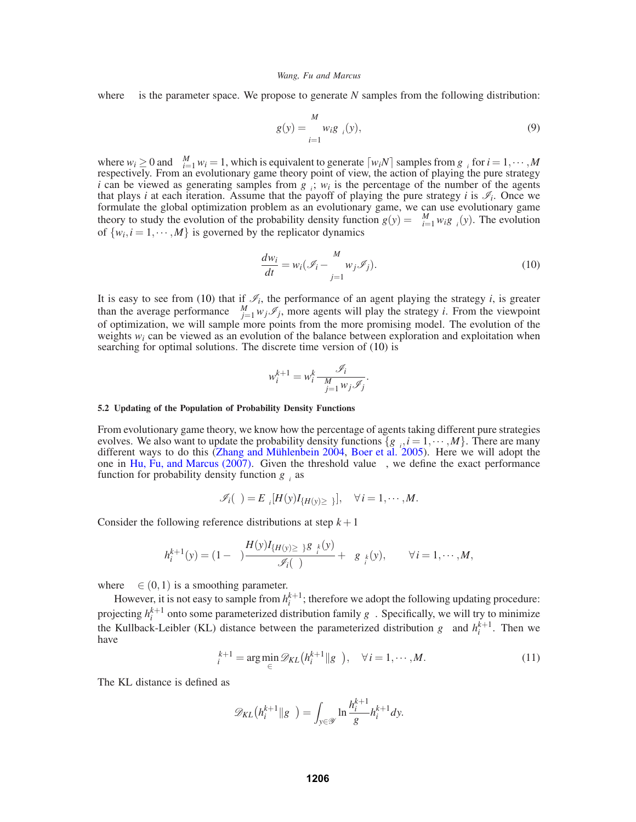where Θ is the parameter space. We propose to generate *N* samples from the following distribution:

$$
g(y) = \sum_{i=1}^{M} w_i g_{\theta_i}(y),
$$
\n(9)

where  $w_i \geq 0$  and  $\sum_{i=1}^{M} w_i = 1$ , which is equivalent to generate  $\lceil w_i N \rceil$  samples from  $g_{\theta_i}$  for  $i = 1, \dots, M$ respectively. From an evolutionary game theory point of view, the action of playing the pure strategy *i* can be viewed as generating samples from  $g_{\theta_i}$ ;  $w_i$  is the percentage of the number of the agents that plays *i* at each iteration. Assume that the payoff of playing the pure strategy *i* is  $\mathcal{I}_i$ . Once we formulate the global optimization problem as an evolutionary game, we can use evolutionary game theory to study the evolution of the probability density function  $g(y) = \sum_{i=1}^{M} w_i g_{\theta_i}(y)$ . The evolution of  $\{w_i, i = 1, \dots, M\}$  is governed by the replicator dynamics

$$
\frac{dw_i}{dt} = w_i(\mathcal{I}_i - \sum_{j=1}^{M} w_j \mathcal{I}_j).
$$
\n(10)

It is easy to see from (10) that if  $\mathcal{I}_i$ , the performance of an agent playing the strategy *i*, is greater than the average performance  $\sum_{j=1}^{M} w_j \mathcal{I}_j$ , more agents will play the strategy *i*. From the viewpoint of optimization, we will sample more points from the more promising model. The evolution of the weights  $w_i$  can be viewed as an evolution of the balance between exploration and exploitation when searching for optimal solutions. The discrete time version of (10) is

$$
w_i^{k+1} = w_i^k \frac{\mathcal{I}_i}{\sum_{j=1}^M w_j \mathcal{I}_j}.
$$

### **5.2 Updating of the Population of Probability Density Functions**

From evolutionary game theory, we know how the percentage of agents taking different pure strategies evolves. We also want to update the probability density functions  $\{g_{\theta_i}, i = 1, \dots, M\}$ . There are many different ways to do this (Zhang and Mühlenbein 2004, Boer et al. 2005). Here we will adopt the one in Hu, Fu, and Marcus (2007). Given the threshold value γ, we define the exact performance function for probability density function  $g_{\theta i}$  as

$$
\mathscr{I}_i(\gamma) = E_{\theta_i}[H(y)I_{\{H(y) \geq \gamma\}}], \quad \forall i = 1, \cdots, M.
$$

Consider the following reference distributions at step  $k+1$ 

$$
h_i^{k+1}(y) = (1 - \lambda) \frac{H(y)I_{\{H(y) \ge \gamma\}} g_{\theta_i^k}(y)}{\mathscr{I}_i(\gamma)} + \lambda g_{\theta_i^k}(y), \qquad \forall i = 1, \cdots, M,
$$

where  $\lambda \in (0,1)$  is a smoothing parameter.

However, it is not easy to sample from  $h_i^{k+1}$ ; therefore we adopt the following updating procedure: projecting  $h_i^{k+1}$  onto some parameterized distribution family  $g_{\theta}$ . Specifically, we will try to minimize the Kullback-Leibler (KL) distance between the parameterized distribution  $g_{\theta}$  and  $h_i^{k+1}$ . Then we have

$$
\theta_i^{k+1} = \arg\min_{\theta \in \Theta} \mathcal{D}_{KL}\left(h_i^{k+1} \| g_\theta\right), \quad \forall \, i = 1, \cdots, M. \tag{11}
$$

The KL distance is defined as

$$
\mathscr{D}_{KL}(h_i^{k+1} \| g_{\theta}) = \int_{y \in \mathscr{Y}} \ln \frac{h_i^{k+1}}{g_{\theta}} h_i^{k+1} dy.
$$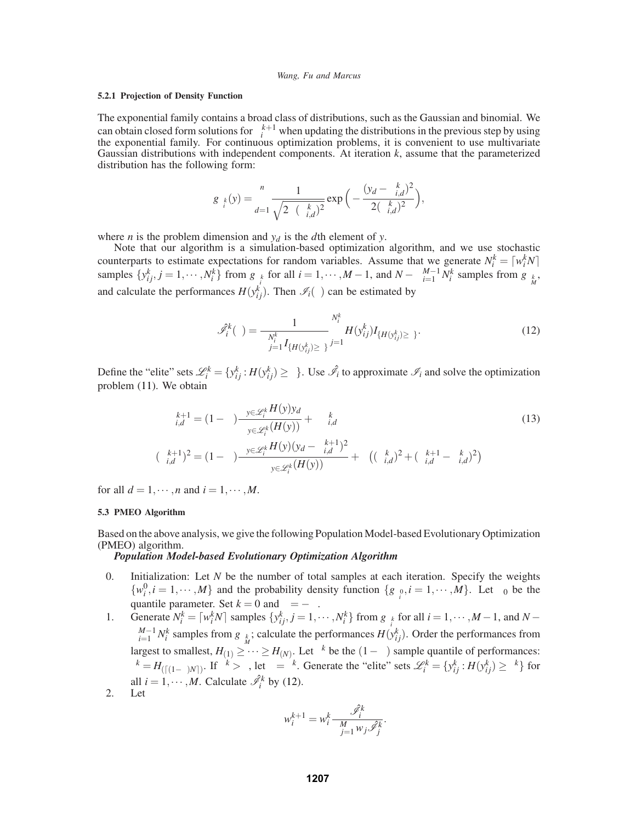# **5.2.1 Projection of Density Function**

The exponential family contains a broad class of distributions, such as the Gaussian and binomial. We can obtain closed form solutions for  $\theta_i^{k+1}$  when updating the distributions in the previous step by using the exponential family. For continuous optimization problems, it is convenient to use multivariate Gaussian distributions with independent components. At iteration *k*, assume that the parameterized distribution has the following form:

$$
g_{\theta_i^k}(y) = \prod_{d=1}^n \frac{1}{\sqrt{2\pi(\sigma_{i,d}^k)^2}} \exp\Big(-\frac{(y_d - \mu_{i,d}^k)^2}{2(\sigma_{i,d}^k)^2}\Big),\,
$$

where *n* is the problem dimension and  $y_d$  is the *d*th element of *y*.

Note that our algorithm is a simulation-based optimization algorithm, and we use stochastic counterparts to estimate expectations for random variables. Assume that we generate  $N_i^k = \lceil w_i^k N \rceil$ samples  $\{y_{ij}^k, j = 1, \dots, N_i^k\}$  from  $g_{\theta_i^k}$  for all  $i = 1, \dots, M-1$ , and  $N - \sum_{i=1}^{M-1} N_i^k$  samples from  $g_{\theta_M^k}$ , and calculate the performances  $H(y_{ij}^k)$ . Then  $\mathcal{I}_i(\gamma)$  can be estimated by

$$
\hat{\mathcal{J}}_i^k(\gamma) = \frac{1}{\sum_{j=1}^{N_i^k} I_{\{H(\mathbf{y}_{ij}^k) \ge \gamma\}} \sum_{j=1}^{N_i^k} H(\mathbf{y}_{ij}^k) I_{\{H(\mathbf{y}_{ij}^k) \ge \gamma\}}.
$$
\n(12)

Define the "elite" sets  $\mathcal{L}_i^k = \{y_{ij}^k : H(y_{ij}^k) \ge \gamma\}$ . Use  $\hat{\mathcal{I}}_i$  to approximate  $\mathcal{I}_i$  and solve the optimization problem (11). We obtain

$$
\mu_{i,d}^{k+1} = (1 - \lambda) \frac{\sum_{y \in \mathcal{L}_i^k} H(y) y_d}{\sum_{y \in \mathcal{L}_i^k} (H(y))} + \lambda \mu_{i,d}^k
$$
\n
$$
(\sigma_{i,d}^{k+1})^2 = (1 - \lambda) \frac{\sum_{y \in \mathcal{L}_i^k} H(y) (y_d - \mu_{i,d}^{k+1})^2}{\sum_{y \in \mathcal{L}_i^k} (H(y))} + \lambda \left( (\sigma_{i,d}^k)^2 + (\mu_{i,d}^{k+1} - \mu_{i,d}^k)^2 \right)
$$
\n(13)

for all  $d = 1, \dots, n$  and  $i = 1, \dots, M$ .

# **5.3 PMEO Algorithm**

Based on the above analysis, we give the following Population Model-based Evolutionary Optimization (PMEO) algorithm.

# *Population Model-based Evolutionary Optimization Algorithm*

- 0. Initialization: Let *N* be the number of total samples at each iteration. Specify the weights  $\{w_i^0, i = 1, \dots, M\}$  and the probability density function  $\{g_{\theta_i^0}, i = 1, \dots, M\}$ . Let  $\rho_0$  be the quantile parameter. Set  $k = 0$  and  $\gamma = -\infty$ .
- 1. Generate  $N_i^k = \lceil w_i^k N \rceil$  samples  $\{y_{ij}^k, j = 1, \dots, N_i^k\}$  from  $g_{\theta_i^k}$  for all  $i = 1, \dots, M-1$ , and  $N-1$  $\sum_{i=1}^{M-1} N_i^k$  samples from  $g_{\theta_M^k}$ ; calculate the performances  $H(y_{ij}^k)$ . Order the performances from largest to smallest,  $H_{(1)} \geq \cdots \geq H_{(N)}$ . Let  $\gamma^k$  be the  $(1-\rho)$  sample quantile of performances:  $\gamma^k = H_{(\lceil (1-\rho)N \rceil)}$ . If  $\gamma^k > \gamma$ , let  $\gamma = \gamma^k$ . Generate the "elite" sets  $\mathcal{L}_i^k = \{y_{ij}^k : H(y_{ij}^k) \geq \gamma^k\}$  for all  $i = 1, \dots, M$ . Calculate  $\hat{\mathscr{I}}_i^k$  by (12).
- 2. Let

$$
w_i^{k+1} = w_i^k \frac{\hat{\mathscr{I}}_i^k}{\sum_{j=1}^M w_j \hat{\mathscr{I}}_j^k}.
$$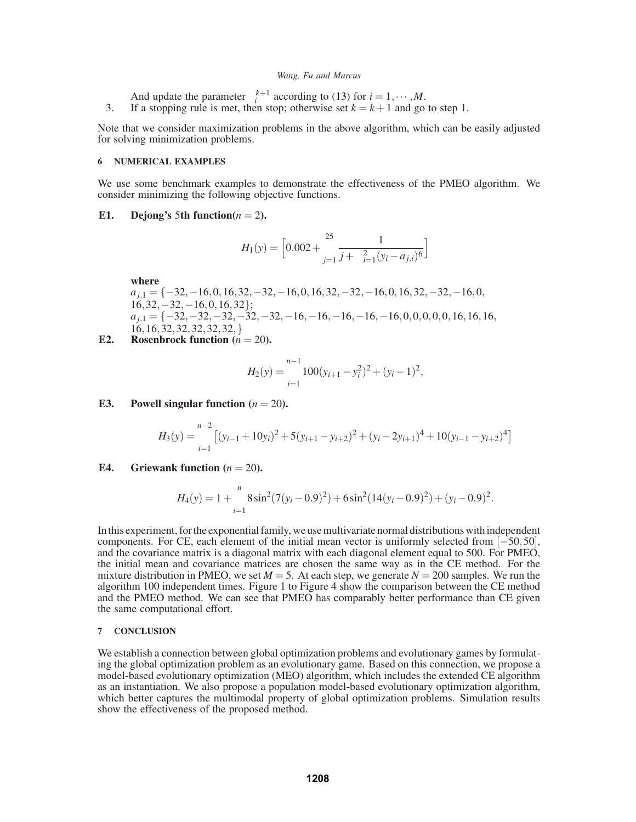And update the parameter  $\theta_i^{k+1}$  according to (13) for  $i = 1, \dots, M$ . 3. If a stopping rule is met, then stop; otherwise set  $k = k + 1$  and go to step 1.

Note that we consider maximization problems in the above algorithm, which can be easily adjusted for solving minimization problems.

### **6 NUMERICAL EXAMPLES**

We use some benchmark examples to demonstrate the effectiveness of the PMEO algorithm. We consider minimizing the following objective functions.

# E1. Dejong's 5th function $(n = 2)$ .

$$
H_1(y) = \left[0.002 + \sum_{j=1}^{25} \frac{1}{j + \sum_{i=1}^{2} (y_i - a_{j,i})^6}\right]
$$

**where**

*a*<sub>i</sub><sub>1</sub> = {−32,−16,0,16,32,−32,−16,0,16,32,−32,−16,0,16,32,−32,−16,0,  $16,32,-32,-16,0,16,32$ }; *a*<sub>*j*,1</sub> = {−32,−32,−32,−32,−32,−16,−16,−16,−16,−16,0,0,0,0,0,0,16,16,16, 16,16,32,32,32,32,32,}

**E2.** Rosenbrock function  $(n = 20)$ .

$$
H_2(y) = \sum_{i=1}^{n-1} 100(y_{i+1} - y_i^2)^2 + (y_i - 1)^2,
$$

**E3.** Powell singular function  $(n = 20)$ .

$$
H_3(y) = \sum_{i=1}^{n-2} \left[ (y_{i-1} + 10y_i)^2 + 5(y_{i+1} - y_{i+2})^2 + (y_i - 2y_{i+1})^4 + 10(y_{i-1} - y_{i+2})^4 \right]
$$

**E4.** Griewank function  $(n = 20)$ .

$$
H_4(y) = 1 + \sum_{i=1}^n 8\sin^2(7(y_i - 0.9)^2) + 6\sin^2(14(y_i - 0.9)^2) + (y_i - 0.9)^2.
$$

In this experiment, for the exponential family, we use multivariate normal distributions with independent components. For CE, each element of the initial mean vector is uniformly selected from [−50,50], and the covariance matrix is a diagonal matrix with each diagonal element equal to 500. For PMEO, the initial mean and covariance matrices are chosen the same way as in the CE method. For the mixture distribution in PMEO, we set  $M = 5$ . At each step, we generate  $N = 200$  samples. We run the algorithm 100 independent times. Figure 1 to Figure 4 show the comparison between the CE method and the PMEO method. We can see that PMEO has comparably better performance than CE given the same computational effort.

## **7 CONCLUSION**

We establish a connection between global optimization problems and evolutionary games by formulating the global optimization problem as an evolutionary game. Based on this connection, we propose a model-based evolutionary optimization (MEO) algorithm, which includes the extended CE algorithm as an instantiation. We also propose a population model-based evolutionary optimization algorithm, which better captures the multimodal property of global optimization problems. Simulation results show the effectiveness of the proposed method.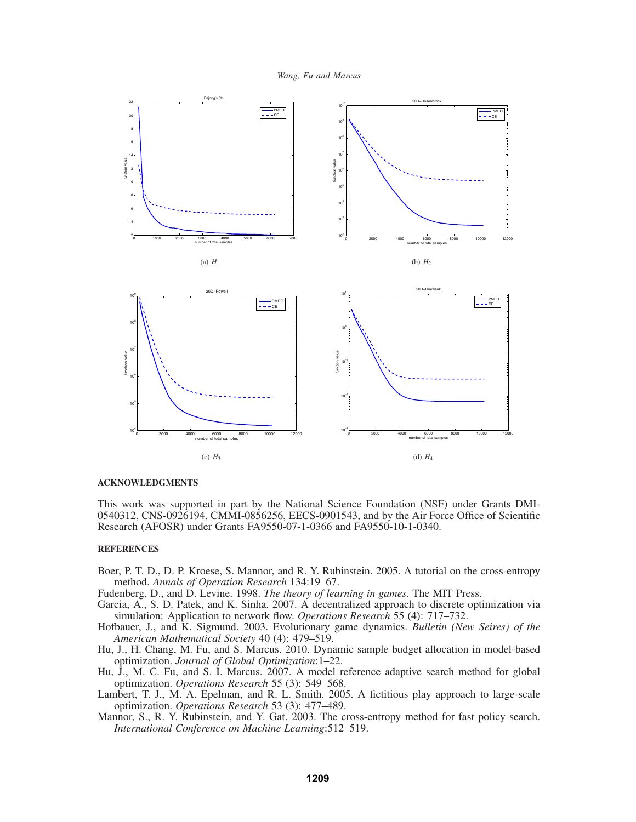



## **ACKNOWLEDGMENTS**

This work was supported in part by the National Science Foundation (NSF) under Grants DMI-0540312, CNS-0926194, CMMI-0856256, EECS-0901543, and by the Air Force Office of Scientific Research (AFOSR) under Grants FA9550-07-1-0366 and FA9550-10-1-0340.

# **REFERENCES**

Boer, P. T. D., D. P. Kroese, S. Mannor, and R. Y. Rubinstein. 2005. A tutorial on the cross-entropy method. *Annals of Operation Research* 134:19–67.

Fudenberg, D., and D. Levine. 1998. *The theory of learning in games*. The MIT Press.

- Garcia, A., S. D. Patek, and K. Sinha. 2007. A decentralized approach to discrete optimization via simulation: Application to network flow. *Operations Research* 55 (4): 717–732.
- Hofbauer, J., and K. Sigmund. 2003. Evolutionary game dynamics. *Bulletin (New Seires) of the American Mathematical Society* 40 (4): 479–519.
- Hu, J., H. Chang, M. Fu, and S. Marcus. 2010. Dynamic sample budget allocation in model-based optimization. *Journal of Global Optimization*:1–22.
- Hu, J., M. C. Fu, and S. I. Marcus. 2007. A model reference adaptive search method for global optimization. *Operations Research* 55 (3): 549–568.
- Lambert, T. J., M. A. Epelman, and R. L. Smith. 2005. A fictitious play approach to large-scale optimization. *Operations Research* 53 (3): 477–489.
- Mannor, S., R. Y. Rubinstein, and Y. Gat. 2003. The cross-entropy method for fast policy search. *International Conference on Machine Learning*:512–519.